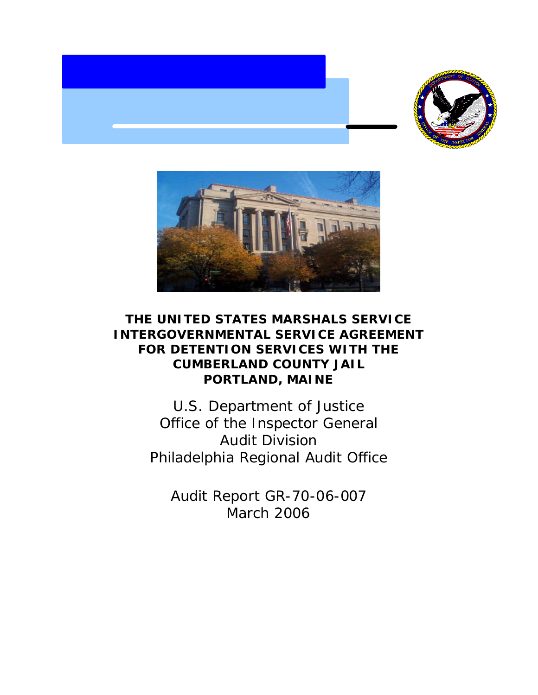



# **THE UNITED STATES MARSHALS SERVICE INTERGOVERNMENTAL SERVICE AGREEMENT FOR DETENTION SERVICES WITH THE CUMBERLAND COUNTY JAIL PORTLAND, MAINE**

U.S. Department of Justice Office of the Inspector General Audit Division Philadelphia Regional Audit Office

Audit Report GR-70-06-007 March 2006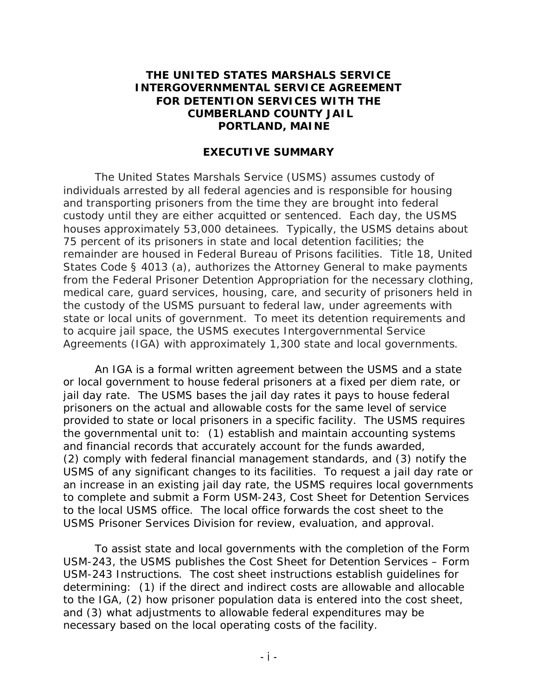#### **THE UNITED STATES MARSHALS SERVICE INTERGOVERNMENTAL SERVICE AGREEMENT FOR DETENTION SERVICES WITH THE CUMBERLAND COUNTY JAIL PORTLAND, MAINE**

#### **EXECUTIVE SUMMARY**

The United States Marshals Service (USMS) assumes custody of individuals arrested by all federal agencies and is responsible for housing and transporting prisoners from the time they are brought into federal custody until they are either acquitted or sentenced. Each day, the USMS houses approximately 53,000 detainees. Typically, the USMS detains about 75 percent of its prisoners in state and local detention facilities; the remainder are housed in Federal Bureau of Prisons facilities. Title 18, United States Code § 4013 (a), authorizes the Attorney General to make payments from the Federal Prisoner Detention Appropriation for the necessary clothing, medical care, guard services, housing, care, and security of prisoners held in the custody of the USMS pursuant to federal law, under agreements with state or local units of government. To meet its detention requirements and to acquire jail space, the USMS executes Intergovernmental Service Agreements (IGA) with approximately 1,300 state and local governments.

 provided to state or local prisoners in a specific facility. The USMS requires USMS Prisoner Services Division for review, evaluation, and approval. An IGA is a formal written agreement between the USMS and a state or local government to house federal prisoners at a fixed per diem rate, or jail day rate. The USMS bases the jail day rates it pays to house federal prisoners on the actual and allowable costs for the same level of service the governmental unit to: (1) establish and maintain accounting systems and financial records that accurately account for the funds awarded, (2) comply with federal financial management standards, and (3) notify the USMS of any significant changes to its facilities. To request a jail day rate or an increase in an existing jail day rate, the USMS requires local governments to complete and submit a Form USM-243, *Cost Sheet for Detention Services*  to the local USMS office. The local office forwards the cost sheet to the

To assist state and local governments with the completion of the Form USM-243, the USMS publishes the *Cost Sheet for Detention Services – Form USM-243 Instructions*. The cost sheet instructions establish guidelines for determining: (1) if the direct and indirect costs are allowable and allocable to the IGA, (2) how prisoner population data is entered into the cost sheet, and (3) what adjustments to allowable federal expenditures may be necessary based on the local operating costs of the facility.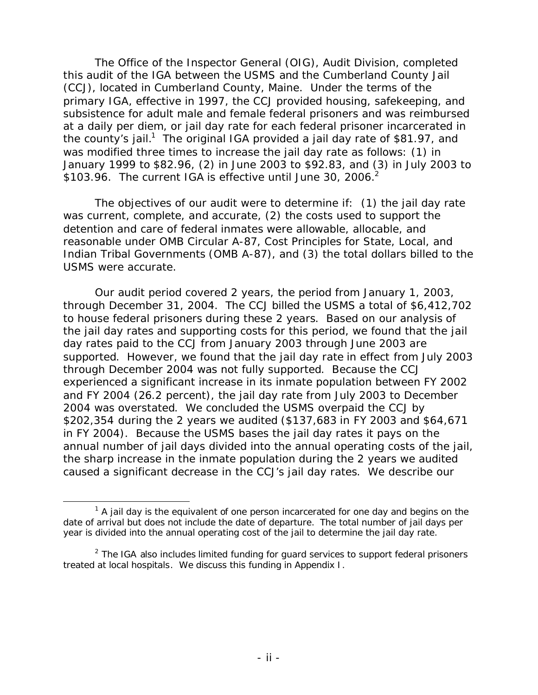The Office of the Inspector General (OIG), Audit Division, completed this audit of the IGA between the USMS and the Cumberland County Jail (CCJ), located in Cumberland County, Maine. Under the terms of the primary IGA, effective in 1997, the CCJ provided housing, safekeeping, and subsistence for adult male and female federal prisoners and was reimbursed at a daily per diem, or jail day rate for each federal prisoner incarcerated in the county's jail.<sup>1</sup> The original IGA provided a jail day rate of \$81.97, and was modified three times to increase the jail day rate as follows: (1) in January 1999 to \$82.96, (2) in June 2003 to \$92.83, and (3) in July 2003 to \$103.96. The current IGA is effective until June 30, 2006.<sup>2</sup>

 The objectives of our audit were to determine if: (1) the jail day rate detention and care of federal inmates were allowable, allocable, and was current, complete, and accurate, (2) the costs used to support the reasonable under OMB Circular A-87, *Cost Principles for State, Local, and Indian Tribal Governments* (OMB A-87), and (3) the total dollars billed to the USMS were accurate.

 supported. However, we found that the jail day rate in effect from July 2003 through December 2004 was not fully supported. Because the CCJ \$202,354 during the 2 years we audited (\$137,683 in FY 2003 and \$64,671 in FY 2004). Because the USMS bases the jail day rates it pays on the caused a significant decrease in the CCJ's jail day rates. We describe our Our audit period covered 2 years, the period from January 1, 2003, through December 31, 2004. The CCJ billed the USMS a total of \$6,412,702 to house federal prisoners during these 2 years. Based on our analysis of the jail day rates and supporting costs for this period, we found that the jail day rates paid to the CCJ from January 2003 through June 2003 are experienced a significant increase in its inmate population between FY 2002 and FY 2004 (26.2 percent), the jail day rate from July 2003 to December 2004 was overstated. We concluded the USMS overpaid the CCJ by annual number of jail days divided into the annual operating costs of the jail, the sharp increase in the inmate population during the 2 years we audited

 $\overline{a}$ 

 $1$  A jail day is the equivalent of one person incarcerated for one day and begins on the date of arrival but does not include the date of departure. The total number of jail days per year is divided into the annual operating cost of the jail to determine the jail day rate.

 $2$  The IGA also includes limited funding for guard services to support federal prisoners treated at local hospitals. We discuss this funding in Appendix I.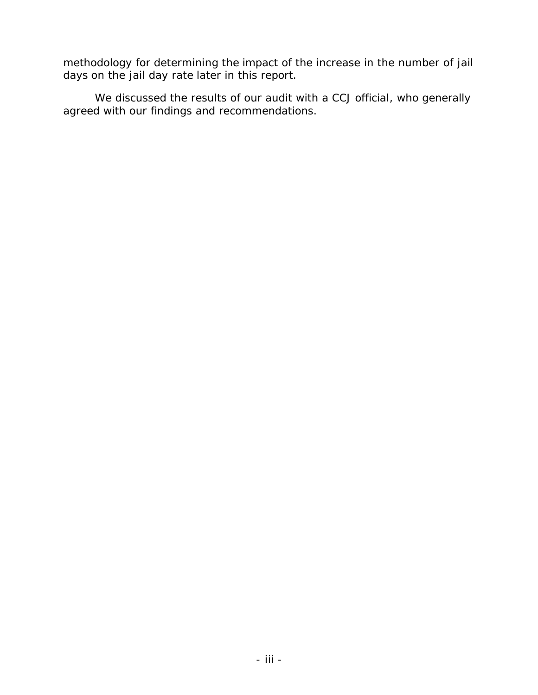methodology for determining the impact of the increase in the number of jail days on the jail day rate later in this report.

agreed with our findings and recommendations. We discussed the results of our audit with a CCJ official, who generally agreed with our findings and recommendations. - iii -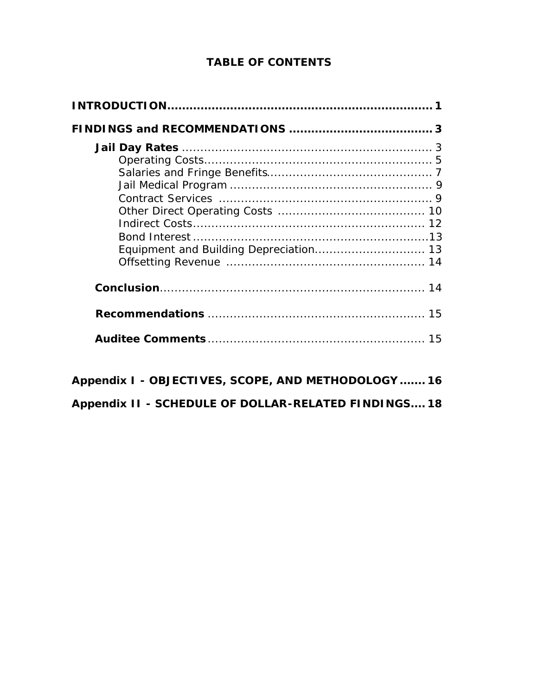## **TABLE OF CONTENTS**

| Equipment and Building Depreciation 13 |  |
|----------------------------------------|--|
|                                        |  |
|                                        |  |
|                                        |  |
|                                        |  |
|                                        |  |

**Appendix I - OBJECTIVES, SCOPE, AND METHODOLOGY ....... 16 Appendix II - SCHEDULE OF DOLLAR-RELATED FINDINGS.... 18**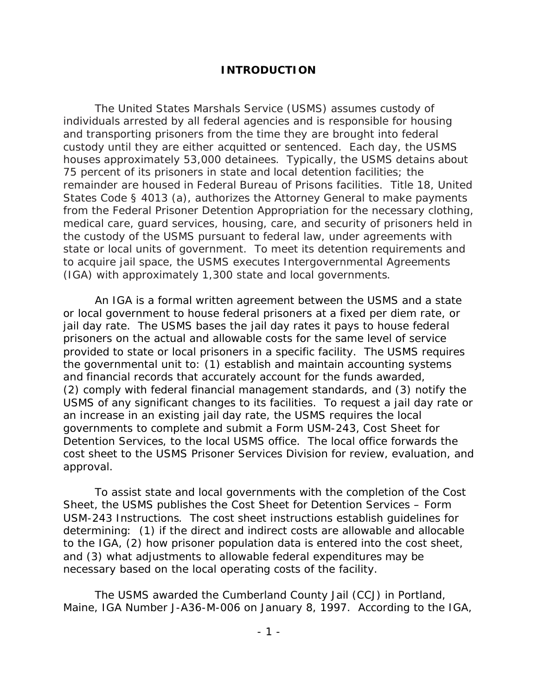#### **INTRODUCTION**

 remainder are housed in Federal Bureau of Prisons facilities. Title 18, United to acquire jail space, the USMS executes Intergovernmental Agreements The United States Marshals Service (USMS) assumes custody of individuals arrested by all federal agencies and is responsible for housing and transporting prisoners from the time they are brought into federal custody until they are either acquitted or sentenced. Each day, the USMS houses approximately 53,000 detainees. Typically, the USMS detains about 75 percent of its prisoners in state and local detention facilities; the States Code § 4013 (a), authorizes the Attorney General to make payments from the Federal Prisoner Detention Appropriation for the necessary clothing, medical care, guard services, housing, care, and security of prisoners held in the custody of the USMS pursuant to federal law, under agreements with state or local units of government. To meet its detention requirements and (IGA) with approximately 1,300 state and local governments.

 provided to state or local prisoners in a specific facility. The USMS requires *Detention Services*, to the local USMS office. The local office forwards the approval. An IGA is a formal written agreement between the USMS and a state or local government to house federal prisoners at a fixed per diem rate, or jail day rate. The USMS bases the jail day rates it pays to house federal prisoners on the actual and allowable costs for the same level of service the governmental unit to: (1) establish and maintain accounting systems and financial records that accurately account for the funds awarded, (2) comply with federal financial management standards, and (3) notify the USMS of any significant changes to its facilities. To request a jail day rate or an increase in an existing jail day rate, the USMS requires the local governments to complete and submit a Form USM-243, *Cost Sheet for*  cost sheet to the USMS Prisoner Services Division for review, evaluation, and

 and (3) what adjustments to allowable federal expenditures may be To assist state and local governments with the completion of the Cost Sheet, the USMS publishes the *Cost Sheet for Detention Services – Form USM-243 Instructions*. The cost sheet instructions establish guidelines for determining: (1) if the direct and indirect costs are allowable and allocable to the IGA, (2) how prisoner population data is entered into the cost sheet, necessary based on the local operating costs of the facility.

The USMS awarded the Cumberland County Jail (CCJ) in Portland, Maine, IGA Number J-A36-M-006 on January 8, 1997. According to the IGA,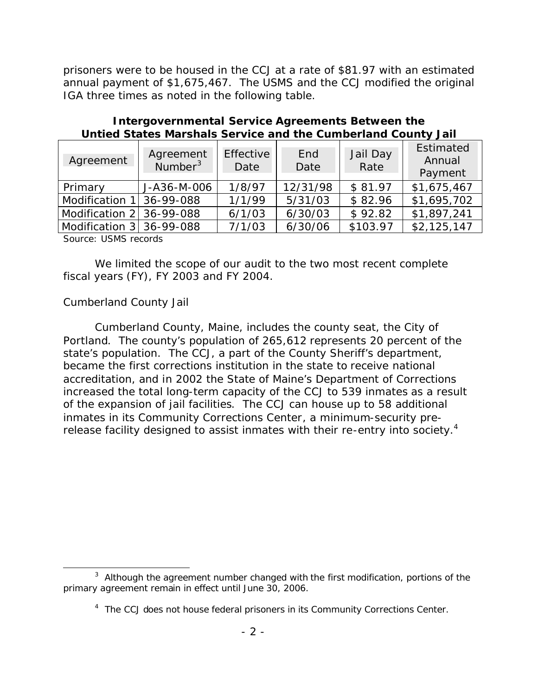prisoners were to be housed in the CCJ at a rate of \$81.97 with an estimated annual payment of \$1,675,467. The USMS and the CCJ modified the original IGA three times as noted in the following table.

| Agreement                       | Agreement<br>Number <sup>3</sup> | Effective<br>Date | End<br>Date | Jail Day<br>Rate | Estimated<br>Annual<br>Payment |
|---------------------------------|----------------------------------|-------------------|-------------|------------------|--------------------------------|
| Primary                         | J-A36-M-006                      | 1/8/97            | 12/31/98    | \$81.97          | \$1,675,467                    |
| Modification 1                  | 36-99-088                        | 1/1/99            | 5/31/03     | \$82.96          | \$1,695,702                    |
| Modification $2 \mid 36-99-088$ |                                  | 6/1/03            | 6/30/03     | \$92.82          | \$1,897,241                    |
| Modification 3 36-99-088        |                                  | 7/1/03            | 6/30/06     | \$103.97         | \$2,125,147                    |

#### **Intergovernmental Service Agreements Between the Untied States Marshals Service and the Cumberland County Jail**

Source: USMS records

We limited the scope of our audit to the two most recent complete fiscal years (FY), FY 2003 and FY 2004.

## *Cumberland County Jail*

Cumberland County, Maine, includes the county seat, the City of Portland. The county's population of 265,612 represents 20 percent of the state's population. The CCJ, a part of the County Sheriff's department, became the first corrections institution in the state to receive national accreditation, and in 2002 the State of Maine's Department of Corrections increased the total long-term capacity of the CCJ to 539 inmates as a result of the expansion of jail facilities. The CCJ can house up to 58 additional inmates in its Community Corrections Center, a minimum-security prerelease facility designed to assist inmates with their re-entry into society.<sup>4</sup>

 $\overline{a}$  $3$  Although the agreement number changed with the first modification, portions of the primary agreement remain in effect until June 30, 2006.

<sup>&</sup>lt;sup>4</sup> The CCJ does not house federal prisoners in its Community Corrections Center.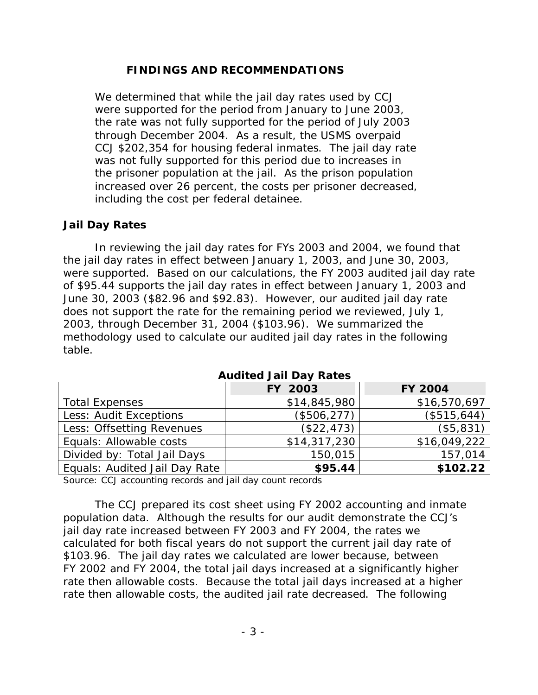## **FINDINGS AND RECOMMENDATIONS**

We determined that while the jail day rates used by CCJ were supported for the period from January to June 2003, the rate was not fully supported for the period of July 2003 through December 2004. As a result, the USMS overpaid CCJ \$202,354 for housing federal inmates. The jail day rate was not fully supported for this period due to increases in the prisoner population at the jail. As the prison population increased over 26 percent, the costs per prisoner decreased, including the cost per federal detainee.

## **Jail Day Rates**

In reviewing the jail day rates for FYs 2003 and 2004, we found that the jail day rates in effect between January 1, 2003, and June 30, 2003, were supported. Based on our calculations, the FY 2003 audited jail day rate of \$95.44 supports the jail day rates in effect between January 1, 2003 and June 30, 2003 (\$82.96 and \$92.83). However, our audited jail day rate does not support the rate for the remaining period we reviewed, July 1, 2003, through December 31, 2004 (\$103.96). We summarized the methodology used to calculate our audited jail day rates in the following table.

|                               | FY 2003      | <b>FY 2004</b> |
|-------------------------------|--------------|----------------|
| <b>Total Expenses</b>         | \$14,845,980 | \$16,570,697   |
| Less: Audit Exceptions        | (\$506, 277) | (\$515,644)    |
| Less: Offsetting Revenues     | (\$22,473)   | ( \$5,831)     |
| Equals: Allowable costs       | \$14,317,230 | \$16,049,222   |
| Divided by: Total Jail Days   | 150,015      | 157,014        |
| Equals: Audited Jail Day Rate | \$95.44      | \$102.22       |

**Audited Jail Day Rates** 

Source: CCJ accounting records and jail day count records

 population data. Although the results for our audit demonstrate the CCJ's The CCJ prepared its cost sheet using FY 2002 accounting and inmate jail day rate increased between FY 2003 and FY 2004, the rates we calculated for both fiscal years do not support the current jail day rate of \$103.96. The jail day rates we calculated are lower because, between FY 2002 and FY 2004, the total jail days increased at a significantly higher rate then allowable costs. Because the total jail days increased at a higher rate then allowable costs, the audited jail rate decreased. The following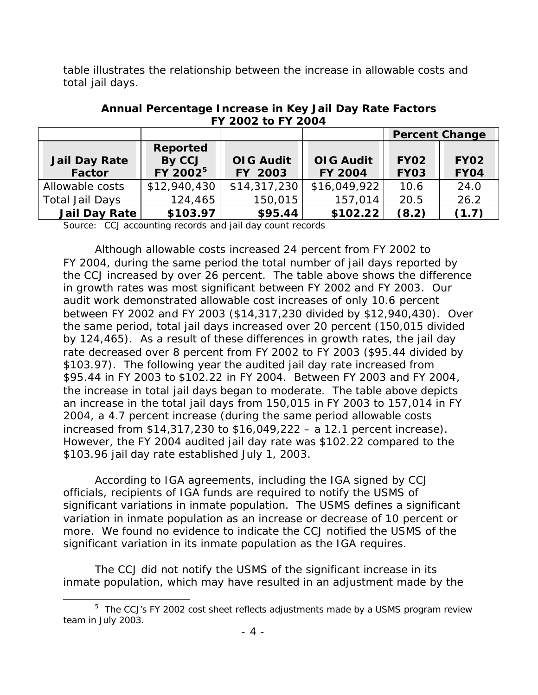table illustrates the relationship between the increase in allowable costs and total jail days.

|                        |                      |                  |                  | <b>Percent Change</b> |             |  |
|------------------------|----------------------|------------------|------------------|-----------------------|-------------|--|
|                        | Reported             |                  |                  |                       |             |  |
| <b>Jail Day Rate</b>   | By CCJ               | <b>OIG Audit</b> | <b>OIG Audit</b> | <b>FY02</b>           | <b>FY02</b> |  |
| <b>Factor</b>          | FY 2002 <sup>5</sup> | FY 2003          | <b>FY 2004</b>   | <b>FY03</b>           | <b>FY04</b> |  |
| Allowable costs        | \$12,940,430         | \$14,317,230     | \$16,049,922     | 10.6                  | 24.0        |  |
| <b>Total Jail Days</b> | 124,465              | 150,015          | 157,014          | 20.5                  | 26.2        |  |
| <b>Jail Day Rate</b>   | \$103.97             | \$95.44          | \$102.22         | (8.2)                 | (1.7)       |  |

**Annual Percentage Increase in Key Jail Day Rate Factors FY 2002 to FY 2004** 

Source: CCJ accounting records and jail day count records

 in growth rates was most significant between FY 2002 and FY 2003. Our rate decreased over 8 percent from FY 2002 to FY 2003 (\$95.44 divided by \$103.97). The following year the audited jail day rate increased from However, the FY 2004 audited jail day rate was \$102.22 compared to the Although allowable costs increased 24 percent from FY 2002 to FY 2004, during the same period the total number of jail days reported by the CCJ increased by over 26 percent. The table above shows the difference audit work demonstrated allowable cost increases of only 10.6 percent between FY 2002 and FY 2003 (\$14,317,230 divided by \$12,940,430). Over the same period, total jail days increased over 20 percent (150,015 divided by 124,465). As a result of these differences in growth rates, the jail day \$95.44 in FY 2003 to \$102.22 in FY 2004. Between FY 2003 and FY 2004, the increase in total jail days began to moderate. The table above depicts an increase in the total jail days from 150,015 in FY 2003 to 157,014 in FY 2004, a 4.7 percent increase (during the same period allowable costs increased from \$14,317,230 to \$16,049,222 – a 12.1 percent increase). \$103.96 jail day rate established July 1, 2003.

According to IGA agreements, including the IGA signed by CCJ officials, recipients of IGA funds are required to notify the USMS of significant variations in inmate population. The USMS defines a significant variation in inmate population as an increase or decrease of 10 percent or more. We found no evidence to indicate the CCJ notified the USMS of the significant variation in its inmate population as the IGA requires.

The CCJ did not notify the USMS of the significant increase in its inmate population, which may have resulted in an adjustment made by the

 $\overline{a}$ 

team in July 2003.  $\sim$  4 -<sup>5</sup> The CCJ's FY 2002 cost sheet reflects adjustments made by a USMS program review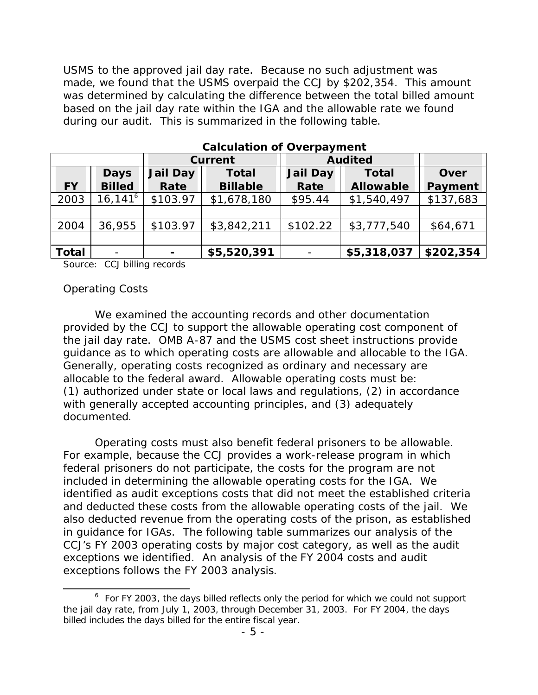made, we found that the USMS overpaid the CCJ by \$202,354. This amount USMS to the approved jail day rate. Because no such adjustment was was determined by calculating the difference between the total billed amount based on the jail day rate within the IGA and the allowable rate we found during our audit. This is summarized in the following table.

|              | <u>Calcalation</u> of Overpayment |                 |                 |                 |                  |           |
|--------------|-----------------------------------|-----------------|-----------------|-----------------|------------------|-----------|
|              |                                   | <b>Current</b>  |                 | <b>Audited</b>  |                  |           |
|              | <b>Days</b>                       | <b>Jail Day</b> | <b>Total</b>    | <b>Jail Day</b> | <b>Total</b>     | Over      |
| <b>FY</b>    | <b>Billed</b>                     | Rate            | <b>Billable</b> | Rate            | <b>Allowable</b> | Payment   |
| 2003         | $16, 141^6$                       | \$103.97        | \$1,678,180     | \$95.44         | \$1,540,497      | \$137,683 |
|              |                                   |                 |                 |                 |                  |           |
| 2004         | 36,955                            | \$103.97        | \$3,842,211     | \$102.22        | \$3,777,540      | \$64,671  |
|              |                                   |                 |                 |                 |                  |           |
| <b>Total</b> |                                   |                 | \$5,520,391     |                 | \$5,318,037      | \$202,354 |

#### **Calculation of Overpayment**

Source: CCJ billing records

#### *Operating Costs*

 $\overline{a}$ 

We examined the accounting records and other documentation provided by the CCJ to support the allowable operating cost component of the jail day rate. OMB A-87 and the USMS cost sheet instructions provide guidance as to which operating costs are allowable and allocable to the IGA. Generally, operating costs recognized as ordinary and necessary are allocable to the federal award. Allowable operating costs must be: (1) authorized under state or local laws and regulations, (2) in accordance with generally accepted accounting principles, and (3) adequately documented.

Operating costs must also benefit federal prisoners to be allowable. For example, because the CCJ provides a work-release program in which federal prisoners do not participate, the costs for the program are not included in determining the allowable operating costs for the IGA. We identified as audit exceptions costs that did not meet the established criteria and deducted these costs from the allowable operating costs of the jail. We also deducted revenue from the operating costs of the prison, as established in guidance for IGAs. The following table summarizes our analysis of the CCJ's FY 2003 operating costs by major cost category, as well as the audit exceptions we identified. An analysis of the FY 2004 costs and audit exceptions follows the FY 2003 analysis.

 $6$  For FY 2003, the days billed reflects only the period for which we could not support the jail day rate, from July 1, 2003, through December 31, 2003. For FY 2004, the days billed includes the days billed for the entire fiscal year.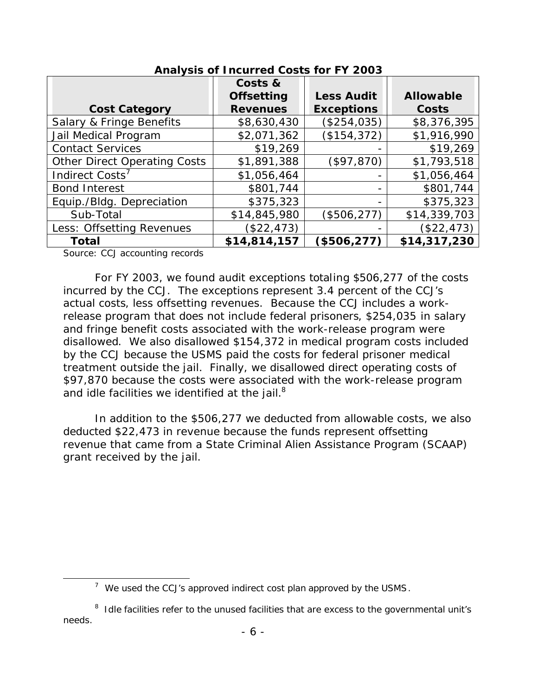|                                     | Costs &           |                   |                  |
|-------------------------------------|-------------------|-------------------|------------------|
|                                     | <b>Offsetting</b> | <b>Less Audit</b> | <b>Allowable</b> |
| <b>Cost Category</b>                | <b>Revenues</b>   | <b>Exceptions</b> | Costs            |
| Salary & Fringe Benefits            | \$8,630,430       | (\$254,035)       | \$8,376,395      |
| Jail Medical Program                | \$2,071,362       | (\$154, 372)      | \$1,916,990      |
| <b>Contact Services</b>             | \$19,269          |                   | \$19,269         |
| <b>Other Direct Operating Costs</b> | \$1,891,388       | (\$97, 870)       | \$1,793,518      |
| Indirect Costs <sup>7</sup>         | \$1,056,464       |                   | \$1,056,464      |
| <b>Bond Interest</b>                | \$801,744         |                   | \$801,744        |
| Equip./Bldg. Depreciation           | \$375,323         |                   | \$375,323        |
| Sub-Total                           | \$14,845,980      | (\$506,277)       | \$14,339,703     |
| Less: Offsetting Revenues           | (\$22,473)        |                   | (\$22,473)       |
| <b>Total</b>                        | \$14,814,157      | (\$506, 277)      | \$14,317,230     |

#### **Analysis of Incurred Costs for FY 2003**

Source: CCJ accounting records

 $\overline{a}$ 

 treatment outside the jail. Finally, we disallowed direct operating costs of For FY 2003, we found audit exceptions totaling \$506,277 of the costs incurred by the CCJ. The exceptions represent 3.4 percent of the CCJ's actual costs, less offsetting revenues. Because the CCJ includes a workrelease program that does not include federal prisoners, \$254,035 in salary and fringe benefit costs associated with the work-release program were disallowed. We also disallowed \$154,372 in medical program costs included by the CCJ because the USMS paid the costs for federal prisoner medical \$97,870 because the costs were associated with the work-release program and idle facilities we identified at the jail. $8$ 

 grant received by the jail. In addition to the \$506,277 we deducted from allowable costs, we also deducted \$22,473 in revenue because the funds represent offsetting revenue that came from a State Criminal Alien Assistance Program (SCAAP)

 $<sup>7</sup>$  We used the CCJ's approved indirect cost plan approved by the USMS.</sup>

<sup>&</sup>lt;sup>8</sup> Idle facilities refer to the unused facilities that are excess to the governmental unit's needs.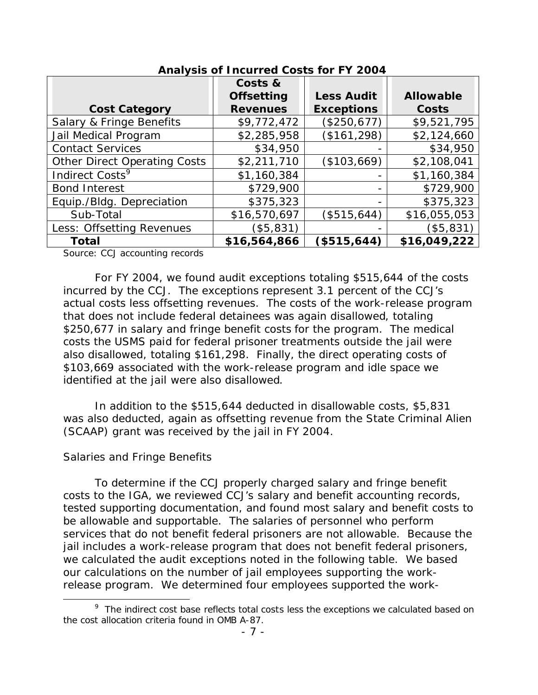|                                     | Costs &           |                   |                  |
|-------------------------------------|-------------------|-------------------|------------------|
|                                     | <b>Offsetting</b> | <b>Less Audit</b> | <b>Allowable</b> |
| <b>Cost Category</b>                | <b>Revenues</b>   | <b>Exceptions</b> | Costs            |
| Salary & Fringe Benefits            | \$9,772,472       | (\$250, 677)      | \$9,521,795      |
| Jail Medical Program                | \$2,285,958       | (\$161, 298)      | \$2,124,660      |
| <b>Contact Services</b>             | \$34,950          |                   | \$34,950         |
| <b>Other Direct Operating Costs</b> | \$2,211,710       | (\$103,669)       | \$2,108,041      |
| Indirect Costs <sup>9</sup>         | \$1,160,384       |                   | \$1,160,384      |
| <b>Bond Interest</b>                | \$729,900         |                   | \$729,900        |
| Equip./Bldg. Depreciation           | \$375,323         |                   | \$375,323        |
| Sub-Total                           | \$16,570,697      | (\$515,644)       | \$16,055,053     |
| Less: Offsetting Revenues           | (\$5,831)         |                   | (\$5,831)        |
| <b>Total</b>                        | \$16,564,866      | (\$515,644)       | \$16,049,222     |

#### **Analysis of Incurred Costs for FY 2004**

Source: CCJ accounting records

For FY 2004, we found audit exceptions totaling \$515,644 of the costs incurred by the CCJ. The exceptions represent 3.1 percent of the CCJ's actual costs less offsetting revenues. The costs of the work-release program that does not include federal detainees was again disallowed, totaling \$250,677 in salary and fringe benefit costs for the program. The medical costs the USMS paid for federal prisoner treatments outside the jail were also disallowed, totaling \$161,298. Finally, the direct operating costs of \$103,669 associated with the work-release program and idle space we identified at the jail were also disallowed.

In addition to the \$515,644 deducted in disallowable costs, \$5,831 was also deducted, again as offsetting revenue from the State Criminal Alien (SCAAP) grant was received by the jail in FY 2004.

#### *Salaries and Fringe Benefits*

 $\overline{a}$ 

To determine if the CCJ properly charged salary and fringe benefit costs to the IGA, we reviewed CCJ's salary and benefit accounting records, tested supporting documentation, and found most salary and benefit costs to be allowable and supportable. The salaries of personnel who perform services that do not benefit federal prisoners are not allowable. Because the jail includes a work-release program that does not benefit federal prisoners, we calculated the audit exceptions noted in the following table. We based our calculations on the number of jail employees supporting the workrelease program. We determined four employees supported the work-

 $9$  The indirect cost base reflects total costs less the exceptions we calculated based on the cost allocation criteria found in OMB A-87.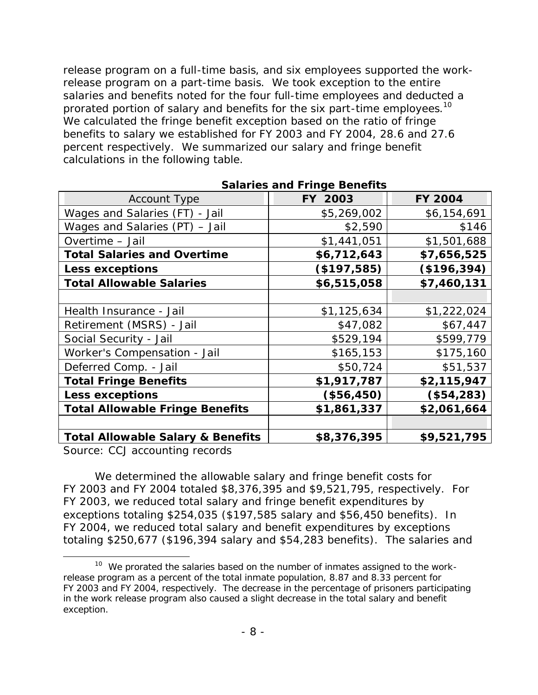prorated portion of salary and benefits for the six part-time employees.<sup>10</sup> percent respectively. We summarized our salary and fringe benefit release program on a full-time basis, and six employees supported the workrelease program on a part-time basis. We took exception to the entire salaries and benefits noted for the four full-time employees and deducted a We calculated the fringe benefit exception based on the ratio of fringe benefits to salary we established for FY 2003 and FY 2004, 28.6 and 27.6 calculations in the following table.

| <b>Salaries and Fringe Benefits</b>          |             |                |  |  |  |
|----------------------------------------------|-------------|----------------|--|--|--|
| <b>Account Type</b>                          | FY 2003     | <b>FY 2004</b> |  |  |  |
| Wages and Salaries (FT) - Jail               | \$5,269,002 | \$6,154,691    |  |  |  |
| Wages and Salaries (PT) - Jail               | \$2,590     | \$146          |  |  |  |
| Overtime - Jail                              | \$1,441,051 | \$1,501,688    |  |  |  |
| <b>Total Salaries and Overtime</b>           | \$6,712,643 | \$7,656,525    |  |  |  |
| <b>Less exceptions</b>                       | (\$197,585) | (\$196,394)    |  |  |  |
| <b>Total Allowable Salaries</b>              | \$6,515,058 | \$7,460,131    |  |  |  |
|                                              |             |                |  |  |  |
| Health Insurance - Jail                      | \$1,125,634 | \$1,222,024    |  |  |  |
| Retirement (MSRS) - Jail                     | \$47,082    | \$67,447       |  |  |  |
| Social Security - Jail                       | \$529,194   | \$599,779      |  |  |  |
| Worker's Compensation - Jail                 | \$165,153   | \$175,160      |  |  |  |
| Deferred Comp. - Jail                        | \$50,724    | \$51,537       |  |  |  |
| <b>Total Fringe Benefits</b>                 | \$1,917,787 | \$2,115,947    |  |  |  |
| <b>Less exceptions</b>                       | (\$56,450)  | (\$54,283)     |  |  |  |
| <b>Total Allowable Fringe Benefits</b>       | \$1,861,337 | \$2,061,664    |  |  |  |
|                                              |             |                |  |  |  |
| <b>Total Allowable Salary &amp; Benefits</b> | \$8,376,395 | \$9,521,795    |  |  |  |

Source: CCJ accounting records

 $\overline{a}$ 

We determined the allowable salary and fringe benefit costs for FY 2003 and FY 2004 totaled \$8,376,395 and \$9,521,795, respectively. For FY 2003, we reduced total salary and fringe benefit expenditures by exceptions totaling \$254,035 (\$197,585 salary and \$56,450 benefits). In FY 2004, we reduced total salary and benefit expenditures by exceptions totaling \$250,677 (\$196,394 salary and \$54,283 benefits). The salaries and

 $10$  We prorated the salaries based on the number of inmates assigned to the workrelease program as a percent of the total inmate population, 8.87 and 8.33 percent for FY 2003 and FY 2004, respectively. The decrease in the percentage of prisoners participating in the work release program also caused a slight decrease in the total salary and benefit exception.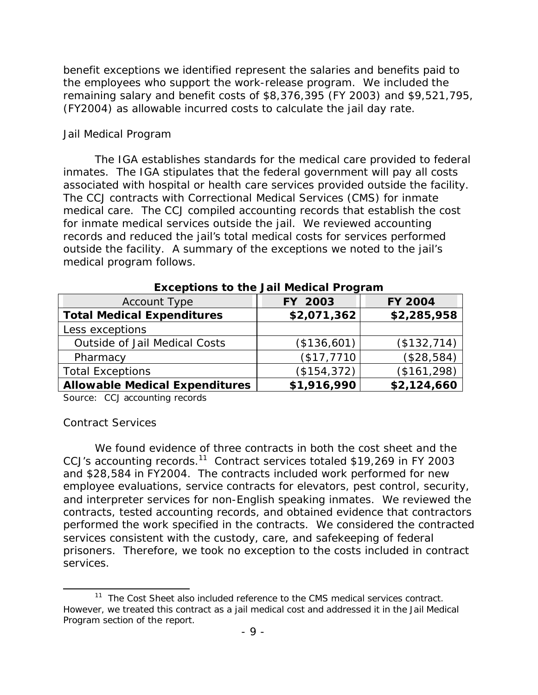benefit exceptions we identified represent the salaries and benefits paid to the employees who support the work-release program. We included the remaining salary and benefit costs of \$8,376,395 (FY 2003) and \$9,521,795, (FY2004) as allowable incurred costs to calculate the jail day rate.

### *Jail Medical Program*

 for inmate medical services outside the jail. We reviewed accounting The IGA establishes standards for the medical care provided to federal inmates. The IGA stipulates that the federal government will pay all costs associated with hospital or health care services provided outside the facility. The CCJ contracts with Correctional Medical Services (CMS) for inmate medical care. The CCJ compiled accounting records that establish the cost records and reduced the jail's total medical costs for services performed outside the facility. A summary of the exceptions we noted to the jail's medical program follows.

| $\blacksquare$                        |              |                |  |  |  |
|---------------------------------------|--------------|----------------|--|--|--|
| <b>Account Type</b>                   | FY 2003      | <b>FY 2004</b> |  |  |  |
| <b>Total Medical Expenditures</b>     | \$2,071,362  | \$2,285,958    |  |  |  |
| Less exceptions                       |              |                |  |  |  |
| Outside of Jail Medical Costs         | (\$136,601)  | (\$132,714)    |  |  |  |
| Pharmacy                              | \$17,7710    | (\$28,584)     |  |  |  |
| <b>Total Exceptions</b>               | (\$154, 372) | (\$161, 298)   |  |  |  |
| <b>Allowable Medical Expenditures</b> | \$1,916,990  | \$2,124,660    |  |  |  |

Source: CCJ accounting records

### *Contract Services*

CCJ's accounting records.<sup>11</sup> Contract services totaled \$19,269 in FY 2003 We found evidence of three contracts in both the cost sheet and the and \$28,584 in FY2004. The contracts included work performed for new employee evaluations, service contracts for elevators, pest control, security, and interpreter services for non-English speaking inmates. We reviewed the contracts, tested accounting records, and obtained evidence that contractors performed the work specified in the contracts. We considered the contracted services consistent with the custody, care, and safekeeping of federal prisoners. Therefore, we took no exception to the costs included in contract services.

<sup>&</sup>lt;sup>11</sup> The Cost Sheet also included reference to the CMS medical services contract. However, we treated this contract as a jail medical cost and addressed it in the Jail Medical Program section of the report.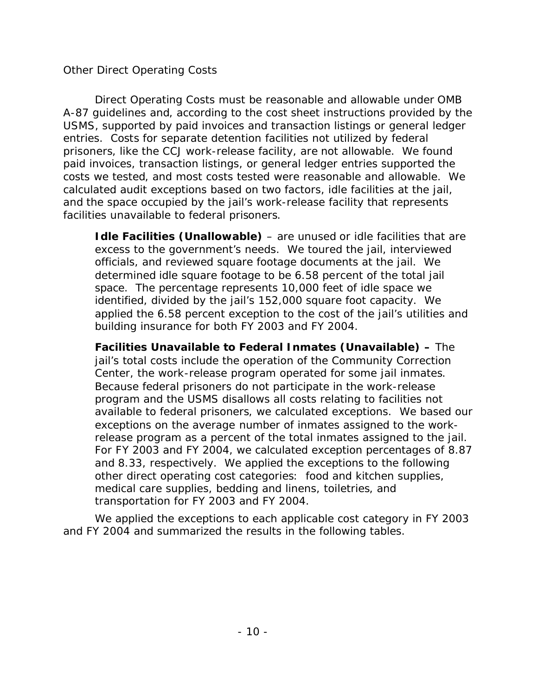## *Other Direct Operating Costs*

 costs we tested, and most costs tested were reasonable and allowable. We facilities unavailable to federal prisoners. Direct Operating Costs must be reasonable and allowable under OMB A-87 guidelines and, according to the cost sheet instructions provided by the USMS, supported by paid invoices and transaction listings or general ledger entries. Costs for separate detention facilities not utilized by federal prisoners, like the CCJ work-release facility, are not allowable. We found paid invoices, transaction listings, or general ledger entries supported the calculated audit exceptions based on two factors, idle facilities at the jail, and the space occupied by the jail's work-release facility that represents

**Idle Facilities (Unallowable)** - are unused or idle facilities that are excess to the government's needs. We toured the jail, interviewed officials, and reviewed square footage documents at the jail. We determined idle square footage to be 6.58 percent of the total jail space. The percentage represents 10,000 feet of idle space we identified, divided by the jail's 152,000 square foot capacity. We applied the 6.58 percent exception to the cost of the jail's utilities and building insurance for both FY 2003 and FY 2004.

**Facilities Unavailable to Federal Inmates (Unavailable) –** The jail's total costs include the operation of the Community Correction Center, the work-release program operated for some jail inmates. Because federal prisoners do not participate in the work-release program and the USMS disallows all costs relating to facilities not available to federal prisoners, we calculated exceptions. We based our exceptions on the average number of inmates assigned to the workrelease program as a percent of the total inmates assigned to the jail. For FY 2003 and FY 2004, we calculated exception percentages of 8.87 and 8.33, respectively. We applied the exceptions to the following other direct operating cost categories: food and kitchen supplies, medical care supplies, bedding and linens, toiletries, and transportation for FY 2003 and FY 2004.

We applied the exceptions to each applicable cost category in FY 2003 and FY 2004 and summarized the results in the following tables.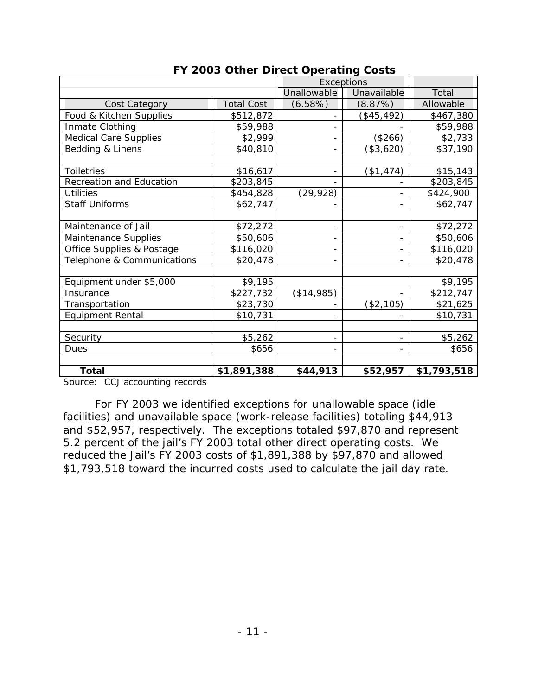|                              | Exceptions        |                              |             |             |
|------------------------------|-------------------|------------------------------|-------------|-------------|
|                              |                   | Unallowable                  | Unavailable | Total       |
| Cost Category                | <b>Total Cost</b> | (6.58%)                      | (8.87%)     | Allowable   |
| Food & Kitchen Supplies      | \$512,872         |                              | (\$45,492)  | \$467,380   |
| Inmate Clothing              | \$59,988          |                              |             | \$59,988    |
| <b>Medical Care Supplies</b> | \$2,999           |                              | (\$266)     | \$2,733     |
| Bedding & Linens             | \$40,810          |                              | (\$3,620)   | \$37,190    |
|                              |                   |                              |             |             |
| <b>Toiletries</b>            | \$16,617          |                              | ( \$1,474)  | \$15,143    |
| Recreation and Education     | \$203,845         |                              |             | \$203,845   |
| <b>Utilities</b>             | \$454,828         | (29, 928)                    |             | \$424,900   |
| <b>Staff Uniforms</b>        | \$62,747          |                              |             | \$62,747    |
|                              |                   |                              |             |             |
| Maintenance of Jail          | \$72,272          |                              |             | \$72,272    |
| Maintenance Supplies         | \$50,606          |                              |             | \$50,606    |
| Office Supplies & Postage    | \$116,020         |                              |             | \$116,020   |
| Telephone & Communications   | \$20,478          | $\qquad \qquad \blacksquare$ |             | \$20,478    |
|                              |                   |                              |             |             |
| Equipment under \$5,000      | \$9,195           |                              |             | \$9,195     |
| Insurance                    | \$227,732         | (\$14,985)                   |             | \$212,747   |
| Transportation               | \$23,730          |                              | (\$2,105)   | \$21,625    |
| <b>Equipment Rental</b>      | \$10,731          |                              |             | \$10,731    |
|                              |                   |                              |             |             |
| Security                     | \$5,262           |                              |             | \$5,262     |
| Dues                         | \$656             |                              |             | \$656       |
|                              |                   |                              |             |             |
| <b>Total</b>                 | \$1,891,388       | \$44,913                     | \$52,957    | \$1,793,518 |

### **FY 2003 Other Direct Operating Costs**

Source: CCJ accounting records

For FY 2003 we identified exceptions for unallowable space (idle facilities) and unavailable space (work-release facilities) totaling \$44,913 and \$52,957, respectively. The exceptions totaled \$97,870 and represent 5.2 percent of the jail's FY 2003 total other direct operating costs. We reduced the Jail's FY 2003 costs of \$1,891,388 by \$97,870 and allowed \$1,793,518 toward the incurred costs used to calculate the jail day rate.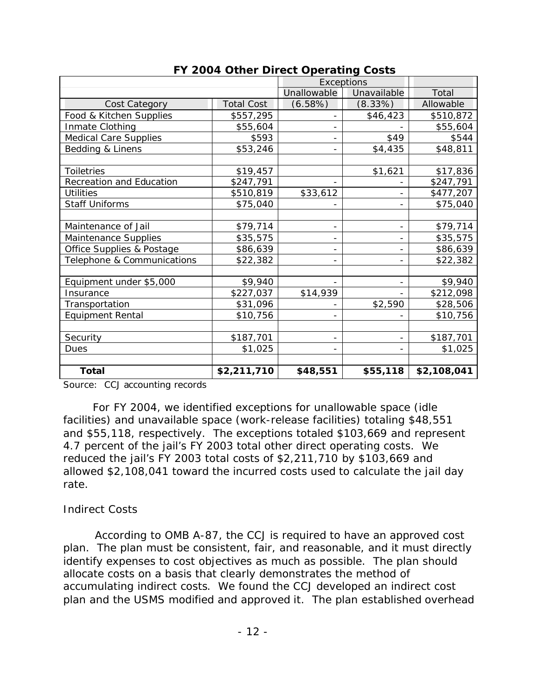|                            | . <u>.</u><br>Exceptions |                   |             |             |
|----------------------------|--------------------------|-------------------|-------------|-------------|
|                            |                          | Unallowable       | Unavailable | Total       |
| Cost Category              | <b>Total Cost</b>        | (6.58%)           | (8.33%)     | Allowable   |
| Food & Kitchen Supplies    | \$557,295                |                   | \$46,423    | \$510,872   |
| Inmate Clothing            | \$55,604                 |                   |             | \$55,604    |
| Medical Care Supplies      | \$593                    |                   | \$49        | \$544       |
| Bedding & Linens           | \$53,246                 |                   | \$4,435     | \$48,811    |
|                            |                          |                   |             |             |
| <b>Toiletries</b>          | \$19,457                 |                   | \$1,621     | \$17,836    |
| Recreation and Education   | \$247,791                |                   |             | \$247,791   |
| <b>Utilities</b>           | \$510,819                | \$33,612          |             | \$477,207   |
| <b>Staff Uniforms</b>      | \$75,040                 |                   |             | \$75,040    |
|                            |                          |                   |             |             |
| Maintenance of Jail        | \$79,714                 |                   |             | \$79,714    |
| Maintenance Supplies       | \$35,575                 | $\qquad \qquad -$ |             | \$35,575    |
| Office Supplies & Postage  | \$86,639                 |                   |             | \$86,639    |
| Telephone & Communications | \$22,382                 |                   |             | \$22,382    |
|                            |                          |                   |             |             |
| Equipment under \$5,000    | \$9,940                  |                   |             | \$9,940     |
| Insurance                  | \$227,037                | \$14,939          |             | \$212,098   |
| Transportation             | \$31,096                 |                   | \$2,590     | \$28,506    |
| <b>Equipment Rental</b>    | \$10,756                 |                   |             | \$10,756    |
|                            |                          |                   |             |             |
| Security                   | \$187,701                |                   |             | \$187,701   |
| Dues                       | \$1,025                  |                   |             | \$1,025     |
|                            |                          |                   |             |             |
| <b>Total</b>               | \$2,211,710              | \$48,551          | \$55,118    | \$2,108,041 |

### **FY 2004 Other Direct Operating Costs**

Source: CCJ accounting records

For FY 2004, we identified exceptions for unallowable space (idle facilities) and unavailable space (work-release facilities) totaling \$48,551 and \$55,118, respectively. The exceptions totaled \$103,669 and represent 4.7 percent of the jail's FY 2003 total other direct operating costs. We reduced the jail's FY 2003 total costs of \$2,211,710 by \$103,669 and allowed \$2,108,041 toward the incurred costs used to calculate the jail day rate.

### *Indirect Costs*

According to OMB A-87, the CCJ is required to have an approved cost plan. The plan must be consistent, fair, and reasonable, and it must directly identify expenses to cost objectives as much as possible. The plan should allocate costs on a basis that clearly demonstrates the method of accumulating indirect costs. We found the CCJ developed an indirect cost plan and the USMS modified and approved it. The plan established overhead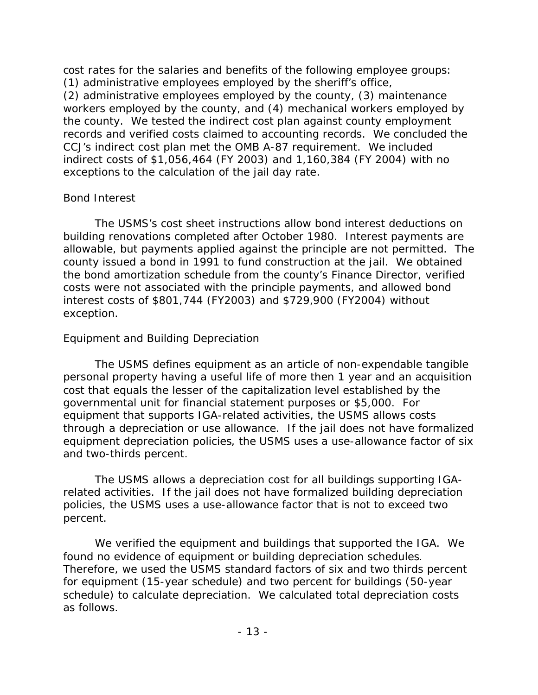CCJ's indirect cost plan met the OMB A-87 requirement. We included cost rates for the salaries and benefits of the following employee groups: (1) administrative employees employed by the sheriff's office, (2) administrative employees employed by the county, (3) maintenance workers employed by the county, and (4) mechanical workers employed by the county. We tested the indirect cost plan against county employment records and verified costs claimed to accounting records. We concluded the indirect costs of \$1,056,464 (FY 2003) and 1,160,384 (FY 2004) with no exceptions to the calculation of the jail day rate.

## *Bond Interest*

The USMS's cost sheet instructions allow bond interest deductions on building renovations completed after October 1980. Interest payments are allowable, but payments applied against the principle are not permitted. The county issued a bond in 1991 to fund construction at the jail. We obtained the bond amortization schedule from the county's Finance Director, verified costs were not associated with the principle payments, and allowed bond interest costs of \$801,744 (FY2003) and \$729,900 (FY2004) without exception.

## *Equipment and Building Depreciation*

The USMS defines equipment as an article of non-expendable tangible personal property having a useful life of more then 1 year and an acquisition cost that equals the lesser of the capitalization level established by the governmental unit for financial statement purposes or \$5,000. For equipment that supports IGA-related activities, the USMS allows costs through a depreciation or use allowance. If the jail does not have formalized equipment depreciation policies, the USMS uses a use-allowance factor of six and two-thirds percent.

The USMS allows a depreciation cost for all buildings supporting IGArelated activities. If the jail does not have formalized building depreciation policies, the USMS uses a use-allowance factor that is not to exceed two percent.

We verified the equipment and buildings that supported the IGA. We found no evidence of equipment or building depreciation schedules. Therefore, we used the USMS standard factors of six and two thirds percent for equipment (15-year schedule) and two percent for buildings (50-year schedule) to calculate depreciation. We calculated total depreciation costs as follows.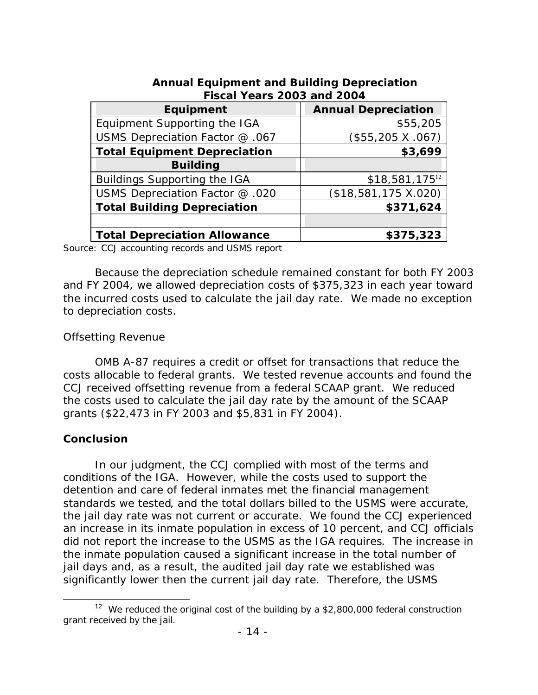| Fiscal Years 2003 and 2004          |                            |  |  |
|-------------------------------------|----------------------------|--|--|
| <b>Equipment</b>                    | <b>Annual Depreciation</b> |  |  |
| Equipment Supporting the IGA        | \$55,205                   |  |  |
| USMS Depreciation Factor @ .067     | $($55,205 \ X.067)$        |  |  |
| <b>Total Equipment Depreciation</b> | \$3,699                    |  |  |
| <b>Building</b>                     |                            |  |  |
| <b>Buildings Supporting the IGA</b> | $$18,581,175^{12}$         |  |  |
| USMS Depreciation Factor @ .020     | (\$18,581,175 X.020)       |  |  |
| <b>Total Building Depreciation</b>  | \$371,624                  |  |  |
|                                     |                            |  |  |
| <b>Total Depreciation Allowance</b> | \$375,323                  |  |  |

### **Annual Equipment and Building Depreciation Fiscal Years 2003 and 2004**

Source: CCJ accounting records and USMS report

Because the depreciation schedule remained constant for both FY 2003 and FY 2004, we allowed depreciation costs of \$375,323 in each year toward the incurred costs used to calculate the jail day rate. We made no exception to depreciation costs.

#### *Offsetting Revenue*

OMB A-87 requires a credit or offset for transactions that reduce the costs allocable to federal grants. We tested revenue accounts and found the CCJ received offsetting revenue from a federal SCAAP grant. We reduced the costs used to calculate the jail day rate by the amount of the SCAAP grants (\$22,473 in FY 2003 and \$5,831 in FY 2004).

### **Conclusion**

 $\overline{a}$ 

 conditions of the IGA. However, while the costs used to support the did not report the increase to the USMS as the IGA requires. The increase in In our judgment, the CCJ complied with most of the terms and detention and care of federal inmates met the financial management standards we tested, and the total dollars billed to the USMS were accurate, the jail day rate was not current or accurate. We found the CCJ experienced an increase in its inmate population in excess of 10 percent, and CCJ officials the inmate population caused a significant increase in the total number of jail days and, as a result, the audited jail day rate we established was significantly lower then the current jail day rate. Therefore, the USMS

 $12$  We reduced the original cost of the building by a \$2,800,000 federal construction grant received by the jail.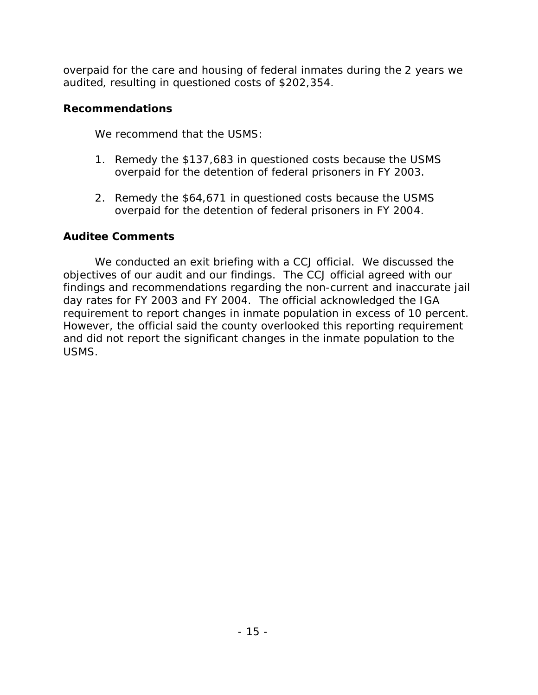overpaid for the care and housing of federal inmates during the 2 years we audited, resulting in questioned costs of \$202,354.

## **Recommendations**

We recommend that the USMS:

- 1. Remedy the \$137,683 in questioned costs because the USMS overpaid for the detention of federal prisoners in FY 2003.
- 2. Remedy the \$64,671 in questioned costs because the USMS overpaid for the detention of federal prisoners in FY 2004.

## **Auditee Comments**

We conducted an exit briefing with a CCJ official. We discussed the objectives of our audit and our findings. The CCJ official agreed with our findings and recommendations regarding the non-current and inaccurate jail day rates for FY 2003 and FY 2004. The official acknowledged the IGA requirement to report changes in inmate population in excess of 10 percent. However, the official said the county overlooked this reporting requirement and did not report the significant changes in the inmate population to the USMS.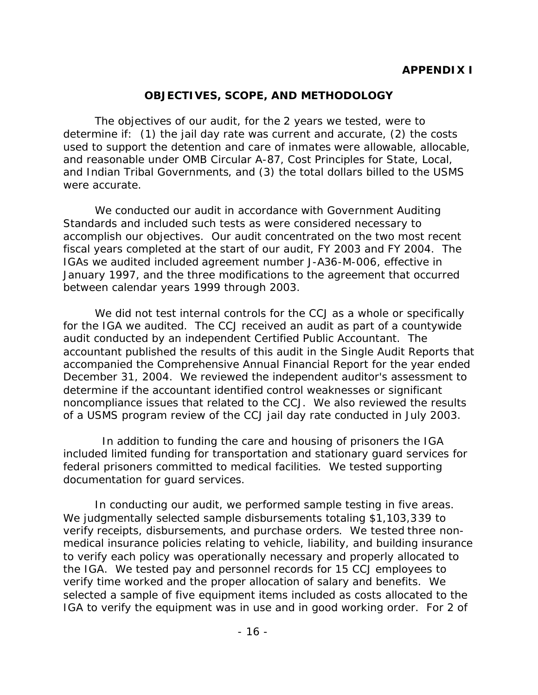### **OBJECTIVES, SCOPE, AND METHODOLOGY**

 used to support the detention and care of inmates were allowable, allocable, The objectives of our audit, for the 2 years we tested, were to determine if: (1) the jail day rate was current and accurate, (2) the costs and reasonable under OMB Circular A-87, *Cost Principles for State, Local, and Indian Tribal Governments*, and (3) the total dollars billed to the USMS were accurate.

We conducted our audit in accordance with Government Auditing Standards and included such tests as were considered necessary to accomplish our objectives. Our audit concentrated on the two most recent fiscal years completed at the start of our audit, FY 2003 and FY 2004. The IGAs we audited included agreement number J-A36-M-006, effective in January 1997, and the three modifications to the agreement that occurred between calendar years 1999 through 2003.

We did not test internal controls for the CCJ as a whole or specifically for the IGA we audited. The CCJ received an audit as part of a countywide audit conducted by an independent Certified Public Accountant. The accountant published the results of this audit in the Single Audit Reports that accompanied the Comprehensive Annual Financial Report for the year ended December 31, 2004. We reviewed the independent auditor's assessment to determine if the accountant identified control weaknesses or significant noncompliance issues that related to the CCJ. We also reviewed the results of a USMS program review of the CCJ jail day rate conducted in July 2003.

 In addition to funding the care and housing of prisoners the IGA included limited funding for transportation and stationary guard services for federal prisoners committed to medical facilities. We tested supporting documentation for guard services.

In conducting our audit, we performed sample testing in five areas. verify receipts, disbursements, and purchase orders. We tested three non-We judgmentally selected sample disbursements totaling \$1,103,339 to medical insurance policies relating to vehicle, liability, and building insurance to verify each policy was operationally necessary and properly allocated to the IGA. We tested pay and personnel records for 15 CCJ employees to verify time worked and the proper allocation of salary and benefits. We selected a sample of five equipment items included as costs allocated to the IGA to verify the equipment was in use and in good working order. For 2 of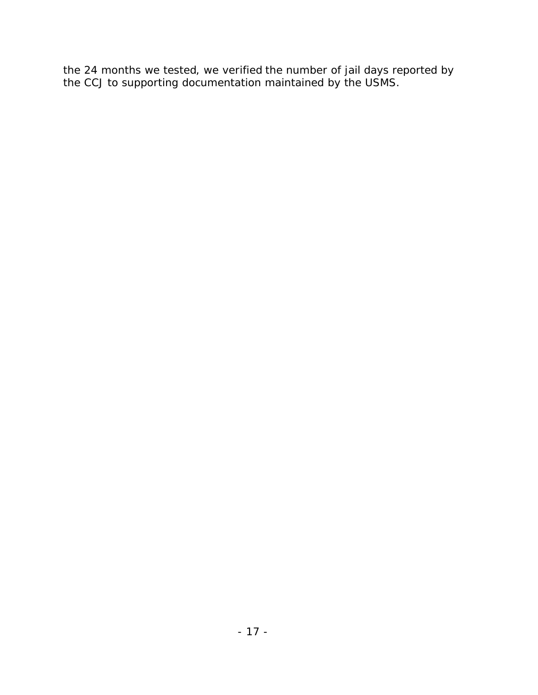the 24 months we tested, we verified the number of jail days reported by the CCJ to supporting documentation maintained by the USMS.